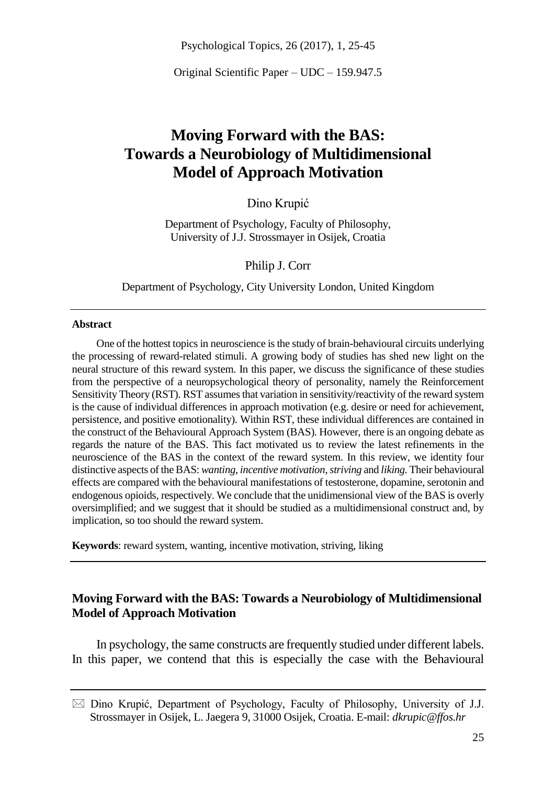Psychological Topics, 26 (2017), 1, 25-45

Original Scientific Paper – UDC – 159.947.5

# **Moving Forward with the BAS: Towards a Neurobiology of Multidimensional Model of Approach Motivation**

Dino Krupić

Department of Psychology, Faculty of Philosophy, University of J.J. Strossmayer in Osijek, Croatia

Philip J. Corr

Department of Psychology, City University London, United Kingdom

#### **Abstract**

One of the hottest topics in neuroscience is the study of brain-behavioural circuits underlying the processing of reward-related stimuli. A growing body of studies has shed new light on the neural structure of this reward system. In this paper, we discuss the significance of these studies from the perspective of a neuropsychological theory of personality, namely the Reinforcement Sensitivity Theory (RST). RST assumes that variation in sensitivity/reactivity of the reward system is the cause of individual differences in approach motivation (e.g. desire or need for achievement, persistence, and positive emotionality). Within RST, these individual differences are contained in the construct of the Behavioural Approach System (BAS). However, there is an ongoing debate as regards the nature of the BAS. This fact motivated us to review the latest refinements in the neuroscience of the BAS in the context of the reward system. In this review, we identity four distinctive aspects of the BAS: *wanting*, *incentive motivation*, *striving* and *liking.* Their behavioural effects are compared with the behavioural manifestations of testosterone, dopamine, serotonin and endogenous opioids, respectively. We conclude that the unidimensional view of the BAS is overly oversimplified; and we suggest that it should be studied as a multidimensional construct and, by implication, so too should the reward system.

**Keywords**: reward system, wanting, incentive motivation, striving, liking

# **Moving Forward with the BAS: Towards a Neurobiology of Multidimensional Model of Approach Motivation**

In psychology, the same constructs are frequently studied under different labels. In this paper, we contend that this is especially the case with the Behavioural

 $\boxtimes$  Dino Krupić, Department of Psychology, Faculty of Philosophy, University of J.J. Strossmayer in Osijek, L. Jaegera 9, 31000 Osijek, Croatia. E-mail: *dkrupic@ffos.hr*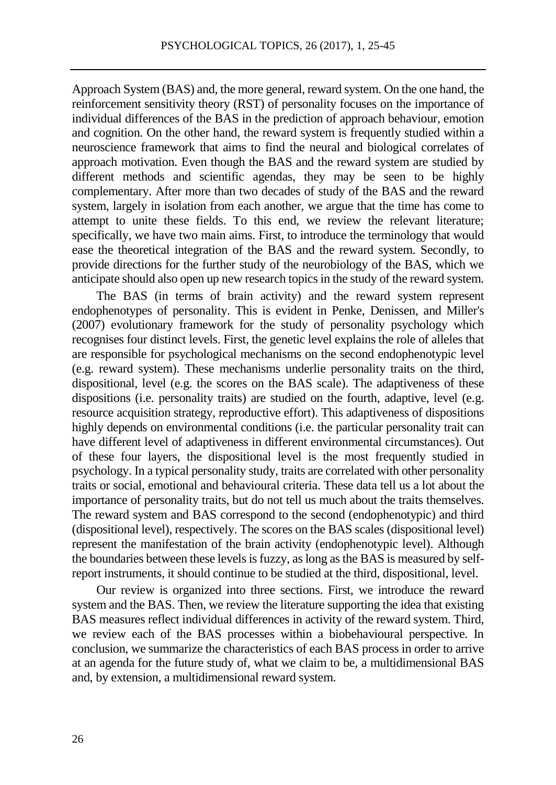Approach System (BAS) and, the more general, reward system. On the one hand, the reinforcement sensitivity theory (RST) of personality focuses on the importance of individual differences of the BAS in the prediction of approach behaviour, emotion and cognition. On the other hand, the reward system is frequently studied within a neuroscience framework that aims to find the neural and biological correlates of approach motivation. Even though the BAS and the reward system are studied by different methods and scientific agendas, they may be seen to be highly complementary. After more than two decades of study of the BAS and the reward system, largely in isolation from each another, we argue that the time has come to attempt to unite these fields. To this end, we review the relevant literature; specifically, we have two main aims. First, to introduce the terminology that would ease the theoretical integration of the BAS and the reward system. Secondly, to provide directions for the further study of the neurobiology of the BAS, which we anticipate should also open up new research topics in the study of the reward system.

The BAS (in terms of brain activity) and the reward system represent endophenotypes of personality. This is evident in Penke, Denissen, and Miller's (2007) evolutionary framework for the study of personality psychology which recognises four distinct levels. First, the genetic level explains the role of alleles that are responsible for psychological mechanisms on the second endophenotypic level (e.g. reward system). These mechanisms underlie personality traits on the third, dispositional, level (e.g. the scores on the BAS scale). The adaptiveness of these dispositions (i.e. personality traits) are studied on the fourth, adaptive, level (e.g. resource acquisition strategy, reproductive effort). This adaptiveness of dispositions highly depends on environmental conditions (i.e. the particular personality trait can have different level of adaptiveness in different environmental circumstances). Out of these four layers, the dispositional level is the most frequently studied in psychology. In a typical personality study, traits are correlated with other personality traits or social, emotional and behavioural criteria. These data tell us a lot about the importance of personality traits, but do not tell us much about the traits themselves. The reward system and BAS correspond to the second (endophenotypic) and third (dispositional level), respectively. The scores on the BAS scales (dispositional level) represent the manifestation of the brain activity (endophenotypic level). Although the boundaries between these levels is fuzzy, as long as the BAS is measured by selfreport instruments, it should continue to be studied at the third, dispositional, level.

Our review is organized into three sections. First, we introduce the reward system and the BAS. Then, we review the literature supporting the idea that existing BAS measures reflect individual differences in activity of the reward system. Third, we review each of the BAS processes within a biobehavioural perspective. In conclusion, we summarize the characteristics of each BAS process in order to arrive at an agenda for the future study of, what we claim to be, a multidimensional BAS and, by extension, a multidimensional reward system.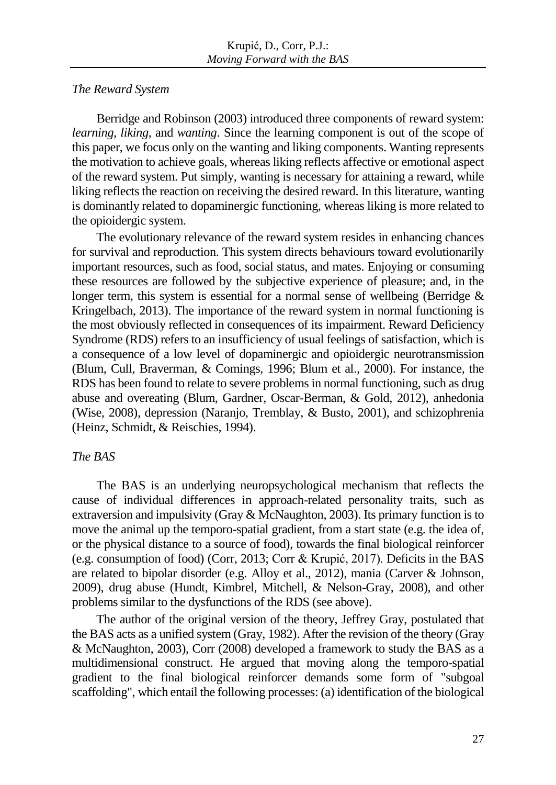# *The Reward System*

Berridge and Robinson (2003) introduced three components of reward system: *learning*, *liking*, and *wanting*. Since the learning component is out of the scope of this paper, we focus only on the wanting and liking components. Wanting represents the motivation to achieve goals, whereas liking reflects affective or emotional aspect of the reward system. Put simply, wanting is necessary for attaining a reward, while liking reflects the reaction on receiving the desired reward. In this literature, wanting is dominantly related to dopaminergic functioning, whereas liking is more related to the opioidergic system.

The evolutionary relevance of the reward system resides in enhancing chances for survival and reproduction. This system directs behaviours toward evolutionarily important resources, such as food, social status, and mates. Enjoying or consuming these resources are followed by the subjective experience of pleasure; and, in the longer term, this system is essential for a normal sense of wellbeing (Berridge  $\&$ Kringelbach, 2013). The importance of the reward system in normal functioning is the most obviously reflected in consequences of its impairment. Reward Deficiency Syndrome (RDS) refers to an insufficiency of usual feelings of satisfaction, which is a consequence of a low level of dopaminergic and opioidergic neurotransmission (Blum, Cull, Braverman, & Comings, 1996; Blum et al., 2000). For instance, the RDS has been found to relate to severe problems in normal functioning, such as drug abuse and overeating (Blum, Gardner, Oscar-Berman, & Gold, 2012), anhedonia (Wise, 2008), depression (Naranjo, Tremblay, & Busto, 2001), and schizophrenia (Heinz, Schmidt, & Reischies, 1994).

# *The BAS*

The BAS is an underlying neuropsychological mechanism that reflects the cause of individual differences in approach-related personality traits, such as extraversion and impulsivity (Gray & McNaughton, 2003). Its primary function is to move the animal up the temporo-spatial gradient, from a start state (e.g. the idea of, or the physical distance to a source of food), towards the final biological reinforcer (e.g. consumption of food) (Corr, 2013; Corr & Krupić, 2017). Deficits in the BAS are related to bipolar disorder (e.g. Alloy et al., 2012), mania (Carver & Johnson, 2009), drug abuse (Hundt, Kimbrel, Mitchell, & Nelson-Gray, 2008), and other problems similar to the dysfunctions of the RDS (see above).

The author of the original version of the theory, Jeffrey Gray, postulated that the BAS acts as a unified system (Gray, 1982). After the revision of the theory (Gray & McNaughton, 2003), Corr (2008) developed a framework to study the BAS as a multidimensional construct. He argued that moving along the temporo-spatial gradient to the final biological reinforcer demands some form of "subgoal scaffolding", which entail the following processes: (a) identification of the biological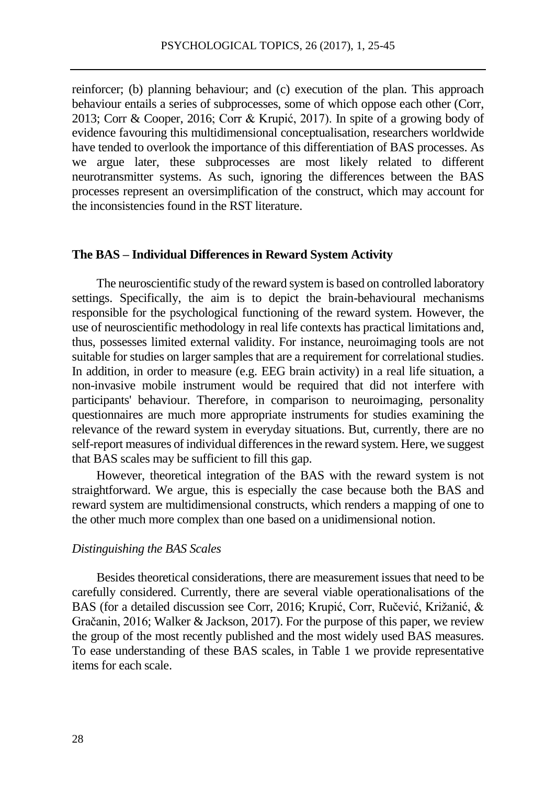reinforcer; (b) planning behaviour; and (c) execution of the plan. This approach behaviour entails a series of subprocesses, some of which oppose each other (Corr, 2013; Corr & Cooper, 2016; Corr & Krupić, 2017). In spite of a growing body of evidence favouring this multidimensional conceptualisation, researchers worldwide have tended to overlook the importance of this differentiation of BAS processes. As we argue later, these subprocesses are most likely related to different neurotransmitter systems. As such, ignoring the differences between the BAS processes represent an oversimplification of the construct, which may account for the inconsistencies found in the RST literature.

#### **The BAS – Individual Differences in Reward System Activity**

The neuroscientific study of the reward system is based on controlled laboratory settings. Specifically, the aim is to depict the brain-behavioural mechanisms responsible for the psychological functioning of the reward system. However, the use of neuroscientific methodology in real life contexts has practical limitations and, thus, possesses limited external validity. For instance, neuroimaging tools are not suitable for studies on larger samples that are a requirement for correlational studies. In addition, in order to measure (e.g. EEG brain activity) in a real life situation, a non-invasive mobile instrument would be required that did not interfere with participants' behaviour. Therefore, in comparison to neuroimaging, personality questionnaires are much more appropriate instruments for studies examining the relevance of the reward system in everyday situations. But, currently, there are no self-report measures of individual differences in the reward system. Here, we suggest that BAS scales may be sufficient to fill this gap.

However, theoretical integration of the BAS with the reward system is not straightforward. We argue, this is especially the case because both the BAS and reward system are multidimensional constructs, which renders a mapping of one to the other much more complex than one based on a unidimensional notion.

### *Distinguishing the BAS Scales*

Besides theoretical considerations, there are measurement issues that need to be carefully considered. Currently, there are several viable operationalisations of the BAS (for a detailed discussion see Corr, 2016; Krupić, Corr, Ručević, Križanić, & Gračanin, 2016; Walker & Jackson, 2017). For the purpose of this paper, we review the group of the most recently published and the most widely used BAS measures. To ease understanding of these BAS scales, in Table 1 we provide representative items for each scale.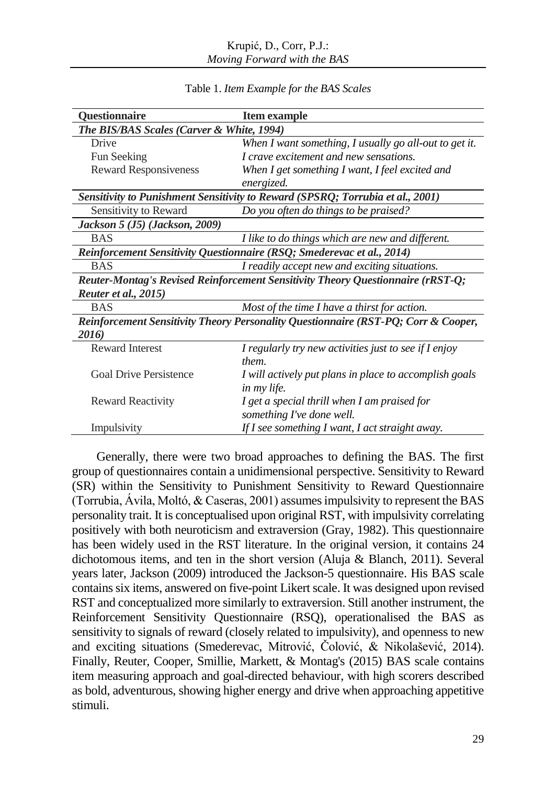| <b>Ouestionnaire</b>                                                               | Item example                                           |  |  |  |
|------------------------------------------------------------------------------------|--------------------------------------------------------|--|--|--|
| The BIS/BAS Scales (Carver & White, 1994)                                          |                                                        |  |  |  |
| Drive                                                                              | When I want something, I usually go all-out to get it. |  |  |  |
| Fun Seeking                                                                        | I crave excitement and new sensations.                 |  |  |  |
| <b>Reward Responsiveness</b>                                                       | When I get something I want, I feel excited and        |  |  |  |
|                                                                                    | energized.                                             |  |  |  |
| Sensitivity to Punishment Sensitivity to Reward (SPSRQ; Torrubia et al., 2001)     |                                                        |  |  |  |
| Sensitivity to Reward                                                              | Do you often do things to be praised?                  |  |  |  |
| Jackson 5 (J5) (Jackson, 2009)                                                     |                                                        |  |  |  |
| <b>BAS</b>                                                                         | I like to do things which are new and different.       |  |  |  |
| Reinforcement Sensitivity Questionnaire (RSQ; Smederevac et al., 2014)             |                                                        |  |  |  |
| <b>BAS</b>                                                                         | I readily accept new and exciting situations.          |  |  |  |
| Reuter-Montag's Revised Reinforcement Sensitivity Theory Questionnaire (rRST-Q;    |                                                        |  |  |  |
| <b>Reuter et al., 2015)</b>                                                        |                                                        |  |  |  |
| <b>BAS</b>                                                                         | Most of the time I have a thirst for action.           |  |  |  |
| Reinforcement Sensitivity Theory Personality Questionnaire (RST-PQ; Corr & Cooper, |                                                        |  |  |  |
| 2016)                                                                              |                                                        |  |  |  |
| <b>Reward Interest</b>                                                             | I regularly try new activities just to see if I enjoy  |  |  |  |
|                                                                                    | them.                                                  |  |  |  |
| <b>Goal Drive Persistence</b>                                                      | I will actively put plans in place to accomplish goals |  |  |  |
|                                                                                    | <i>in my life.</i>                                     |  |  |  |
| <b>Reward Reactivity</b>                                                           | I get a special thrill when I am praised for           |  |  |  |
|                                                                                    | something I've done well.                              |  |  |  |
| Impulsivity                                                                        | If I see something I want, I act straight away.        |  |  |  |

#### Table 1. *Item Example for the BAS Scales*

Generally, there were two broad approaches to defining the BAS. The first group of questionnaires contain a unidimensional perspective. Sensitivity to Reward (SR) within the Sensitivity to Punishment Sensitivity to Reward Questionnaire (Torrubia, Ávila, Moltó, & Caseras, 2001) assumes impulsivity to represent the BAS personality trait. It is conceptualised upon original RST, with impulsivity correlating positively with both neuroticism and extraversion (Gray, 1982). This questionnaire has been widely used in the RST literature. In the original version, it contains 24 dichotomous items, and ten in the short version (Aluja & Blanch, 2011). Several years later, Jackson (2009) introduced the Jackson-5 questionnaire. His BAS scale contains six items, answered on five-point Likert scale. It was designed upon revised RST and conceptualized more similarly to extraversion. Still another instrument, the Reinforcement Sensitivity Questionnaire (RSQ), operationalised the BAS as sensitivity to signals of reward (closely related to impulsivity), and openness to new and exciting situations (Smederevac, Mitrović, Čolović, & Nikolašević, 2014). Finally, Reuter, Cooper, Smillie, Markett, & Montag's (2015) BAS scale contains item measuring approach and goal-directed behaviour, with high scorers described as bold, adventurous, showing higher energy and drive when approaching appetitive stimuli.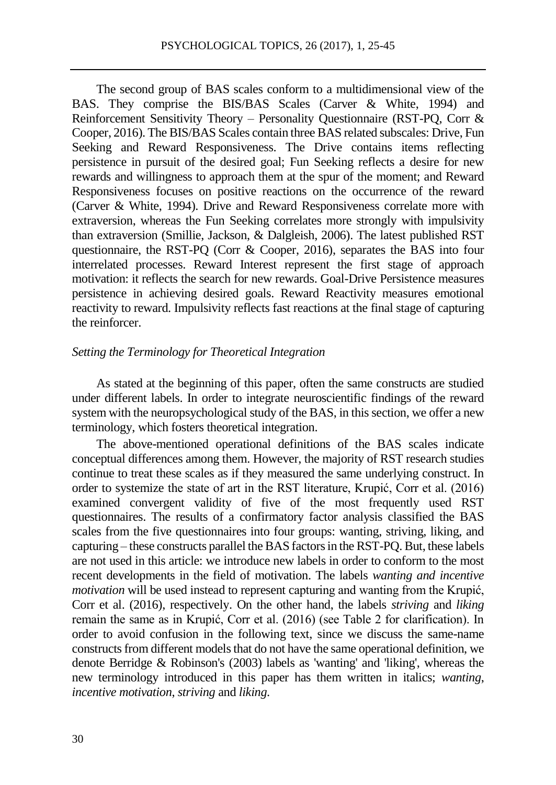The second group of BAS scales conform to a multidimensional view of the BAS. They comprise the BIS/BAS Scales (Carver & White, 1994) and Reinforcement Sensitivity Theory – Personality Questionnaire (RST-PQ, Corr & Cooper, 2016). The BIS/BAS Scales contain three BAS related subscales: Drive, Fun Seeking and Reward Responsiveness. The Drive contains items reflecting persistence in pursuit of the desired goal; Fun Seeking reflects a desire for new rewards and willingness to approach them at the spur of the moment; and Reward Responsiveness focuses on positive reactions on the occurrence of the reward (Carver & White, 1994). Drive and Reward Responsiveness correlate more with extraversion, whereas the Fun Seeking correlates more strongly with impulsivity than extraversion (Smillie, Jackson, & Dalgleish, 2006). The latest published RST questionnaire, the RST-PQ (Corr & Cooper, 2016), separates the BAS into four interrelated processes. Reward Interest represent the first stage of approach motivation: it reflects the search for new rewards. Goal-Drive Persistence measures persistence in achieving desired goals. Reward Reactivity measures emotional reactivity to reward. Impulsivity reflects fast reactions at the final stage of capturing the reinforcer.

### *Setting the Terminology for Theoretical Integration*

As stated at the beginning of this paper, often the same constructs are studied under different labels. In order to integrate neuroscientific findings of the reward system with the neuropsychological study of the BAS, in this section, we offer a new terminology, which fosters theoretical integration.

The above-mentioned operational definitions of the BAS scales indicate conceptual differences among them. However, the majority of RST research studies continue to treat these scales as if they measured the same underlying construct. In order to systemize the state of art in the RST literature, Krupić, Corr et al. (2016) examined convergent validity of five of the most frequently used RST questionnaires. The results of a confirmatory factor analysis classified the BAS scales from the five questionnaires into four groups: wanting, striving, liking, and capturing – these constructs parallel the BAS factors in the RST-PQ. But, these labels are not used in this article: we introduce new labels in order to conform to the most recent developments in the field of motivation. The labels *wanting and incentive motivation* will be used instead to represent capturing and wanting from the Krupić, Corr et al. (2016), respectively. On the other hand, the labels *striving* and *liking*  remain the same as in Krupić, Corr et al. (2016) (see Table 2 for clarification). In order to avoid confusion in the following text, since we discuss the same-name constructs from different models that do not have the same operational definition, we denote Berridge & Robinson's (2003) labels as 'wanting' and 'liking', whereas the new terminology introduced in this paper has them written in italics; *wanting*, *incentive motivation*, *striving* and *liking*.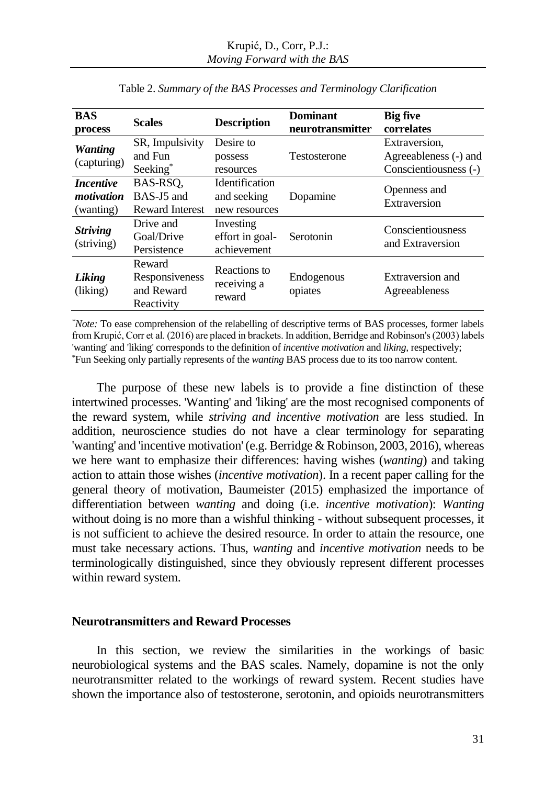| <b>BAS</b><br>process                       | <b>Scales</b>                                        | <b>Description</b>                                    | <b>Dominant</b><br>neurotransmitter | <b>Big five</b><br>correlates                                   |
|---------------------------------------------|------------------------------------------------------|-------------------------------------------------------|-------------------------------------|-----------------------------------------------------------------|
| <b>Wanting</b><br>(capturing)               | SR, Impulsivity<br>and Fun<br>Seeking*               | Desire to<br>possess<br>resources                     | Testosterone                        | Extraversion.<br>Agreeableness (-) and<br>Conscientiousness (-) |
| <i>Incentive</i><br>motivation<br>(wanting) | BAS-RSQ,<br>BAS-J5 and<br><b>Reward Interest</b>     | <b>Identification</b><br>and seeking<br>new resources | Dopamine                            | Openness and<br>Extraversion                                    |
| <b>Striving</b><br>(striving)               | Drive and<br>Goal/Drive<br>Persistence               | Investing<br>effort in goal-<br>achievement           | Serotonin                           | Conscientiousness<br>and Extraversion                           |
| Liking<br>(liking)                          | Reward<br>Responsiveness<br>and Reward<br>Reactivity | Reactions to<br>receiving a<br>reward                 | Endogenous<br>opiates               | Extraversion and<br>Agreeableness                               |

Table 2. *Summary of the BAS Processes and Terminology Clarification*

*\*Note:* To ease comprehension of the relabelling of descriptive terms of BAS processes, former labels from Krupić, Corr et al. (2016) are placed in brackets. In addition, Berridge and Robinson's (2003) labels 'wanting' and 'liking' corresponds to the definition of *incentive motivation* and *liking,* respectively; \*Fun Seeking only partially represents of the *wanting* BAS process due to its too narrow content.

The purpose of these new labels is to provide a fine distinction of these intertwined processes. 'Wanting' and 'liking' are the most recognised components of the reward system, while *striving and incentive motivation* are less studied. In addition, neuroscience studies do not have a clear terminology for separating 'wanting' and 'incentive motivation'(e.g. Berridge & Robinson, 2003, 2016), whereas we here want to emphasize their differences: having wishes (*wanting*) and taking action to attain those wishes (*incentive motivation*). In a recent paper calling for the general theory of motivation, Baumeister (2015) emphasized the importance of differentiation between *wanting* and doing (i.e. *incentive motivation*): *Wanting* without doing is no more than a wishful thinking - without subsequent processes, it is not sufficient to achieve the desired resource. In order to attain the resource, one must take necessary actions. Thus, *wanting* and *incentive motivation* needs to be terminologically distinguished, since they obviously represent different processes within reward system.

## **Neurotransmitters and Reward Processes**

In this section, we review the similarities in the workings of basic neurobiological systems and the BAS scales. Namely, dopamine is not the only neurotransmitter related to the workings of reward system. Recent studies have shown the importance also of testosterone, serotonin, and opioids neurotransmitters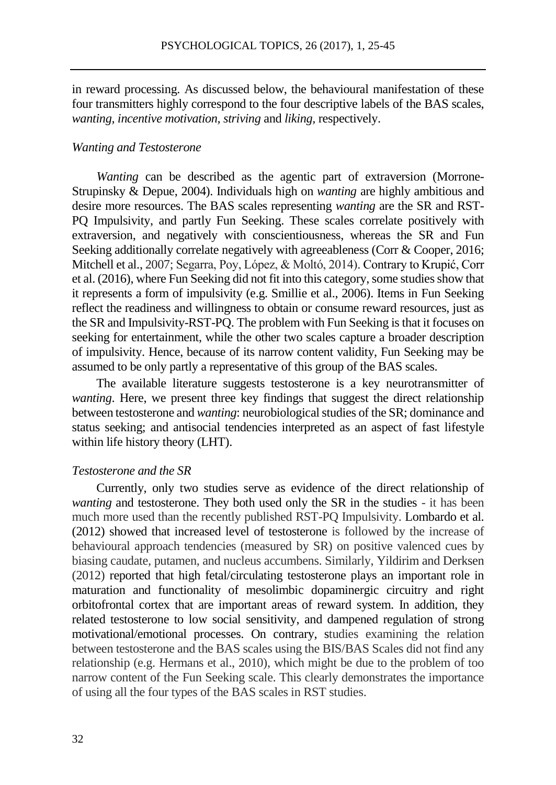in reward processing. As discussed below, the behavioural manifestation of these four transmitters highly correspond to the four descriptive labels of the BAS scales, *wanting, incentive motivation, striving* and *liking,* respectively.

#### *Wanting and Testosterone*

*Wanting* can be described as the agentic part of extraversion (Morrone-Strupinsky & Depue, 2004). Individuals high on *wanting* are highly ambitious and desire more resources. The BAS scales representing *wanting* are the SR and RST-PQ Impulsivity, and partly Fun Seeking. These scales correlate positively with extraversion, and negatively with conscientiousness, whereas the SR and Fun Seeking additionally correlate negatively with agreeableness (Corr & Cooper, 2016; Mitchell et al., 2007; Segarra, Poy, López, & Moltó, 2014). Contrary to Krupić, Corr et al. (2016), where Fun Seeking did not fit into this category, some studies show that it represents a form of impulsivity (e.g. Smillie et al., 2006). Items in Fun Seeking reflect the readiness and willingness to obtain or consume reward resources, just as the SR and Impulsivity-RST-PQ. The problem with Fun Seeking is that it focuses on seeking for entertainment, while the other two scales capture a broader description of impulsivity. Hence, because of its narrow content validity, Fun Seeking may be assumed to be only partly a representative of this group of the BAS scales.

The available literature suggests testosterone is a key neurotransmitter of *wanting*. Here, we present three key findings that suggest the direct relationship between testosterone and *wanting*: neurobiological studies of the SR; dominance and status seeking; and antisocial tendencies interpreted as an aspect of fast lifestyle within life history theory (LHT).

## *Testosterone and the SR*

Currently, only two studies serve as evidence of the direct relationship of *wanting* and testosterone. They both used only the SR in the studies - it has been much more used than the recently published RST-PQ Impulsivity. Lombardo et al. (2012) showed that increased level of testosterone is followed by the increase of behavioural approach tendencies (measured by SR) on positive valenced cues by biasing caudate, putamen, and nucleus accumbens. Similarly, Yildirim and Derksen (2012) reported that high fetal/circulating testosterone plays an important role in maturation and functionality of mesolimbic dopaminergic circuitry and right orbitofrontal cortex that are important areas of reward system. In addition, they related testosterone to low social sensitivity, and dampened regulation of strong motivational/emotional processes. On contrary, studies examining the relation between testosterone and the BAS scales using the BIS/BAS Scales did not find any relationship (e.g. Hermans et al., 2010), which might be due to the problem of too narrow content of the Fun Seeking scale. This clearly demonstrates the importance of using all the four types of the BAS scales in RST studies.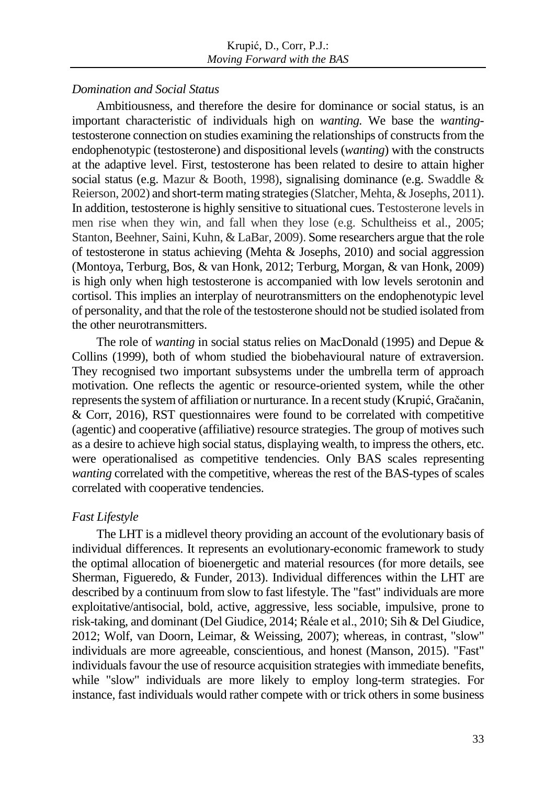# *Domination and Social Status*

Ambitiousness, and therefore the desire for dominance or social status, is an important characteristic of individuals high on *wanting.* We base the *wanting*testosterone connection on studies examining the relationships of constructs from the endophenotypic (testosterone) and dispositional levels (*wanting*) with the constructs at the adaptive level. First, testosterone has been related to desire to attain higher social status (e.g. Mazur & Booth, 1998), signalising dominance (e.g. Swaddle & Reierson, 2002) and short-term mating strategies (Slatcher, Mehta, & Josephs, 2011). In addition, testosterone is highly sensitive to situational cues. Testosterone levels in men rise when they win, and fall when they lose (e.g. Schultheiss et al., 2005; Stanton, Beehner, Saini, Kuhn, & LaBar, 2009). Some researchers argue that the role of testosterone in status achieving (Mehta & Josephs, 2010) and social aggression (Montoya, Terburg, Bos, & van Honk, 2012; Terburg, Morgan, & van Honk, 2009) is high only when high testosterone is accompanied with low levels serotonin and cortisol. This implies an interplay of neurotransmitters on the endophenotypic level of personality, and that the role of the testosterone should not be studied isolated from the other neurotransmitters.

The role of *wanting* in social status relies on MacDonald (1995) and Depue & Collins (1999), both of whom studied the biobehavioural nature of extraversion. They recognised two important subsystems under the umbrella term of approach motivation. One reflects the agentic or resource-oriented system, while the other represents the system of affiliation or nurturance. In a recent study (Krupić, Gračanin, & Corr, 2016), RST questionnaires were found to be correlated with competitive (agentic) and cooperative (affiliative) resource strategies. The group of motives such as a desire to achieve high social status, displaying wealth, to impress the others, etc. were operationalised as competitive tendencies. Only BAS scales representing *wanting* correlated with the competitive, whereas the rest of the BAS-types of scales correlated with cooperative tendencies.

# *Fast Lifestyle*

The LHT is a midlevel theory providing an account of the evolutionary basis of individual differences. It represents an evolutionary-economic framework to study the optimal allocation of bioenergetic and material resources (for more details, see Sherman, Figueredo, & Funder, 2013). Individual differences within the LHT are described by a continuum from slow to fast lifestyle. The "fast" individuals are more exploitative/antisocial, bold, active, aggressive, less sociable, impulsive, prone to risk-taking, and dominant (Del Giudice, 2014; Réale et al., 2010; Sih & Del Giudice, 2012; Wolf, van Doorn, Leimar, & Weissing, 2007); whereas, in contrast, "slow" individuals are more agreeable, conscientious, and honest (Manson, 2015). "Fast" individuals favour the use of resource acquisition strategies with immediate benefits, while "slow" individuals are more likely to employ long-term strategies. For instance, fast individuals would rather compete with or trick others in some business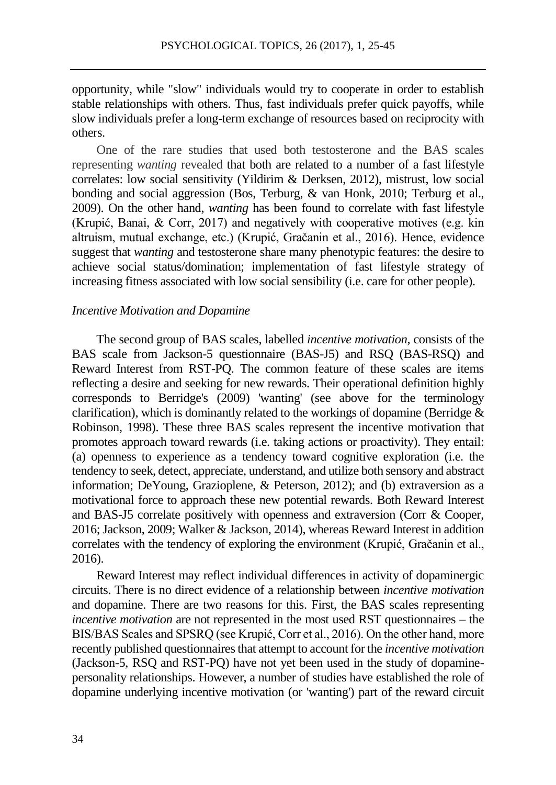opportunity, while "slow" individuals would try to cooperate in order to establish stable relationships with others. Thus, fast individuals prefer quick payoffs, while slow individuals prefer a long-term exchange of resources based on reciprocity with others.

One of the rare studies that used both testosterone and the BAS scales representing *wanting* revealed that both are related to a number of a fast lifestyle correlates: low social sensitivity (Yildirim & Derksen, 2012), mistrust, low social bonding and social aggression (Bos, Terburg, & van Honk, 2010; Terburg et al., 2009). On the other hand, *wanting* has been found to correlate with fast lifestyle (Krupić, Banai, & Corr, 2017) and negatively with cooperative motives (e.g. kin altruism, mutual exchange, etc.) (Krupić, Gračanin et al., 2016). Hence, evidence suggest that *wanting* and testosterone share many phenotypic features: the desire to achieve social status/domination; implementation of fast lifestyle strategy of increasing fitness associated with low social sensibility (i.e. care for other people).

#### *Incentive Motivation and Dopamine*

The second group of BAS scales, labelled *incentive motivation,* consists of the BAS scale from Jackson-5 questionnaire (BAS-J5) and RSQ (BAS-RSQ) and Reward Interest from RST-PQ. The common feature of these scales are items reflecting a desire and seeking for new rewards. Their operational definition highly corresponds to Berridge's (2009) 'wanting' (see above for the terminology clarification), which is dominantly related to the workings of dopamine (Berridge & Robinson, 1998). These three BAS scales represent the incentive motivation that promotes approach toward rewards (i.e. taking actions or proactivity). They entail: (a) openness to experience as a tendency toward cognitive exploration (i.e. the tendency to seek, detect, appreciate, understand, and utilize both sensory and abstract information; DeYoung, Grazioplene, & Peterson, 2012); and (b) extraversion as a motivational force to approach these new potential rewards. Both Reward Interest and BAS-J5 correlate positively with openness and extraversion (Corr & Cooper, 2016; Jackson, 2009; Walker & Jackson, 2014), whereas Reward Interest in addition correlates with the tendency of exploring the environment (Krupić, Gračanin et al., 2016).

Reward Interest may reflect individual differences in activity of dopaminergic circuits. There is no direct evidence of a relationship between *incentive motivation* and dopamine. There are two reasons for this. First, the BAS scales representing *incentive motivation* are not represented in the most used RST questionnaires – the BIS/BAS Scales and SPSRQ (see Krupić, Corr et al., 2016). On the other hand, more recently published questionnaires that attempt to account for the *incentive motivation*  (Jackson-5, RSQ and RST-PQ) have not yet been used in the study of dopaminepersonality relationships. However, a number of studies have established the role of dopamine underlying incentive motivation (or 'wanting') part of the reward circuit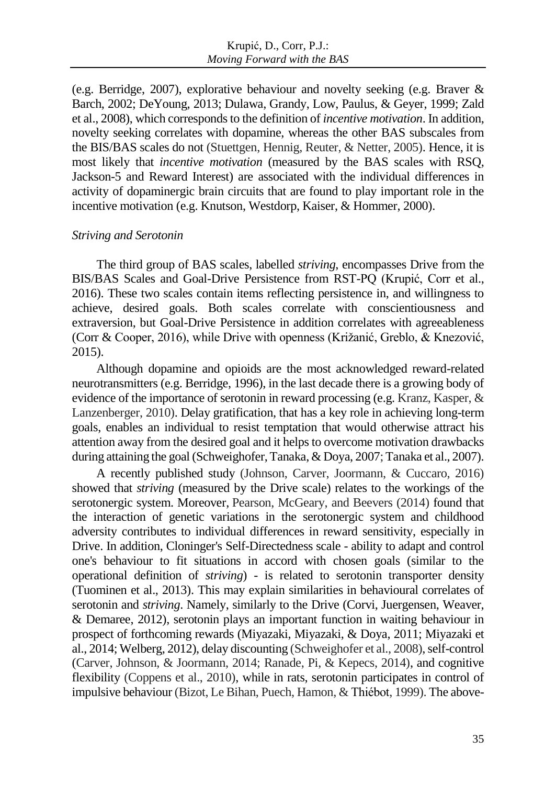(e.g. Berridge, 2007), explorative behaviour and novelty seeking (e.g. Braver & Barch, 2002; DeYoung, 2013; Dulawa, Grandy, Low, Paulus, & Geyer, 1999; Zald et al., 2008), which corresponds to the definition of *incentive motivation*. In addition, novelty seeking correlates with dopamine, whereas the other BAS subscales from the BIS/BAS scales do not (Stuettgen, Hennig, Reuter, & Netter, 2005). Hence, it is most likely that *incentive motivation* (measured by the BAS scales with RSQ, Jackson-5 and Reward Interest) are associated with the individual differences in activity of dopaminergic brain circuits that are found to play important role in the incentive motivation (e.g. Knutson, Westdorp, Kaiser, & Hommer, 2000).

## *Striving and Serotonin*

The third group of BAS scales, labelled *striving*, encompasses Drive from the BIS/BAS Scales and Goal-Drive Persistence from RST-PQ (Krupić, Corr et al., 2016). These two scales contain items reflecting persistence in, and willingness to achieve, desired goals. Both scales correlate with conscientiousness and extraversion, but Goal-Drive Persistence in addition correlates with agreeableness (Corr & Cooper, 2016), while Drive with openness (Križanić, Greblo, & Knezović, 2015).

Although dopamine and opioids are the most acknowledged reward-related neurotransmitters (e.g. Berridge, 1996), in the last decade there is a growing body of evidence of the importance of serotonin in reward processing (e.g. Kranz, Kasper, & Lanzenberger, 2010). Delay gratification, that has a key role in achieving long-term goals, enables an individual to resist temptation that would otherwise attract his attention away from the desired goal and it helps to overcome motivation drawbacks during attaining the goal (Schweighofer, Tanaka, & Doya, 2007; Tanaka et al., 2007).

A recently published study (Johnson, Carver, Joormann, & Cuccaro, 2016) showed that *striving* (measured by the Drive scale) relates to the workings of the serotonergic system. Moreover, Pearson, McGeary, and Beevers (2014) found that the interaction of genetic variations in the serotonergic system and childhood adversity contributes to individual differences in reward sensitivity, especially in Drive. In addition, Cloninger's Self-Directedness scale - ability to adapt and control one's behaviour to fit situations in accord with chosen goals (similar to the operational definition of *striving*) - is related to serotonin transporter density (Tuominen et al., 2013). This may explain similarities in behavioural correlates of serotonin and *striving*. Namely, similarly to the Drive (Corvi, Juergensen, Weaver, & Demaree, 2012), serotonin plays an important function in waiting behaviour in prospect of forthcoming rewards (Miyazaki, Miyazaki, & Doya, 2011; Miyazaki et al., 2014; Welberg, 2012), delay discounting (Schweighofer et al., 2008), self-control (Carver, Johnson, & Joormann, 2014; Ranade, Pi, & Kepecs, 2014), and cognitive flexibility (Coppens et al., 2010), while in rats, serotonin participates in control of impulsive behaviour (Bizot, Le Bihan, Puech, Hamon, & Thiébot, 1999). The above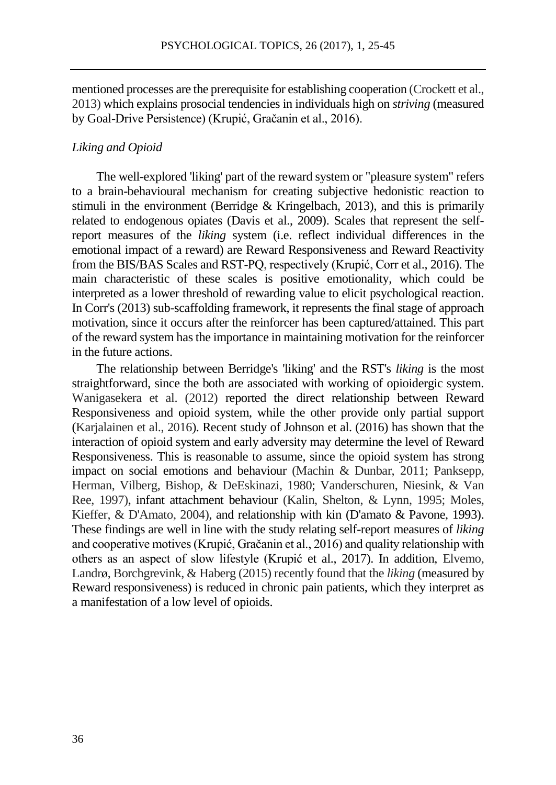mentioned processes are the prerequisite for establishing cooperation (Crockett et al., 2013) which explains prosocial tendencies in individuals high on *striving* (measured by Goal-Drive Persistence) (Krupić, Gračanin et al., 2016).

## *Liking and Opioid*

The well-explored 'liking' part of the reward system or "pleasure system" refers to a brain-behavioural mechanism for creating subjective hedonistic reaction to stimuli in the environment (Berridge & Kringelbach, 2013), and this is primarily related to endogenous opiates (Davis et al., 2009). Scales that represent the selfreport measures of the *liking* system (i.e. reflect individual differences in the emotional impact of a reward) are Reward Responsiveness and Reward Reactivity from the BIS/BAS Scales and RST-PQ, respectively (Krupić, Corr et al., 2016). The main characteristic of these scales is positive emotionality, which could be interpreted as a lower threshold of rewarding value to elicit psychological reaction. In Corr's (2013) sub-scaffolding framework, it represents the final stage of approach motivation, since it occurs after the reinforcer has been captured/attained. This part of the reward system has the importance in maintaining motivation for the reinforcer in the future actions.

The relationship between Berridge's 'liking' and the RST's *liking* is the most straightforward, since the both are associated with working of opioidergic system. Wanigasekera et al. (2012) reported the direct relationship between Reward Responsiveness and opioid system, while the other provide only partial support (Karjalainen et al., 2016). Recent study of Johnson et al. (2016) has shown that the interaction of opioid system and early adversity may determine the level of Reward Responsiveness. This is reasonable to assume, since the opioid system has strong impact on social emotions and behaviour (Machin & Dunbar, 2011; Panksepp, Herman, Vilberg, Bishop, & DeEskinazi, 1980; Vanderschuren, Niesink, & Van Ree, 1997), infant attachment behaviour (Kalin, Shelton, & Lynn, 1995; Moles, Kieffer, & D'Amato, 2004), and relationship with kin (D'amato & Pavone, 1993). These findings are well in line with the study relating self-report measures of *liking* and cooperative motives (Krupić, Gračanin et al., 2016) and quality relationship with others as an aspect of slow lifestyle (Krupić et al., 2017). In addition, Elvemo, Landrø, Borchgrevink, & Haberg (2015) recently found that the *liking* (measured by Reward responsiveness) is reduced in chronic pain patients, which they interpret as a manifestation of a low level of opioids.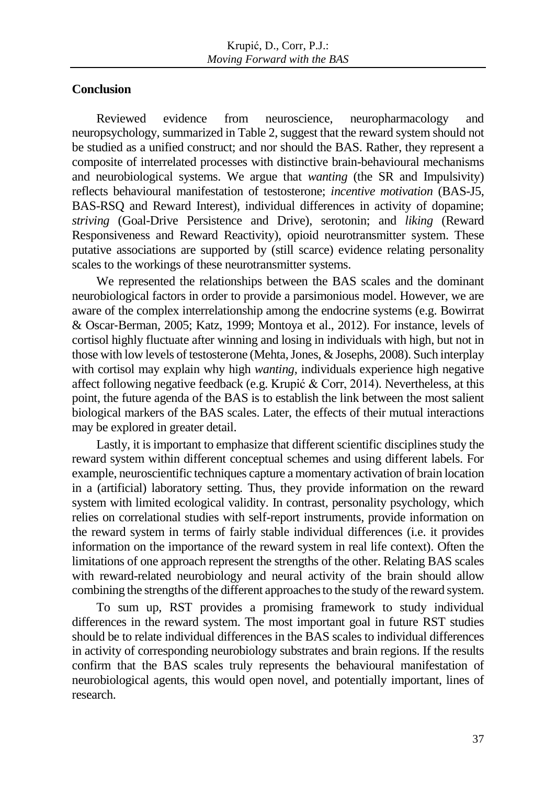## **Conclusion**

Reviewed evidence from neuroscience, neuropharmacology and neuropsychology, summarized in Table 2, suggest that the reward system should not be studied as a unified construct; and nor should the BAS. Rather, they represent a composite of interrelated processes with distinctive brain-behavioural mechanisms and neurobiological systems. We argue that *wanting* (the SR and Impulsivity) reflects behavioural manifestation of testosterone; *incentive motivation* (BAS-J5, BAS-RSQ and Reward Interest), individual differences in activity of dopamine; *striving* (Goal-Drive Persistence and Drive), serotonin; and *liking* (Reward Responsiveness and Reward Reactivity), opioid neurotransmitter system. These putative associations are supported by (still scarce) evidence relating personality scales to the workings of these neurotransmitter systems.

We represented the relationships between the BAS scales and the dominant neurobiological factors in order to provide a parsimonious model. However, we are aware of the complex interrelationship among the endocrine systems (e.g. Bowirrat & Oscar‐Berman, 2005; Katz, 1999; Montoya et al., 2012). For instance, levels of cortisol highly fluctuate after winning and losing in individuals with high, but not in those with low levels of testosterone (Mehta, Jones, & Josephs, 2008). Such interplay with cortisol may explain why high *wanting,* individuals experience high negative affect following negative feedback (e.g. Krupić & Corr, 2014). Nevertheless, at this point, the future agenda of the BAS is to establish the link between the most salient biological markers of the BAS scales. Later, the effects of their mutual interactions may be explored in greater detail.

Lastly, it is important to emphasize that different scientific disciplines study the reward system within different conceptual schemes and using different labels. For example, neuroscientific techniques capture a momentary activation of brain location in a (artificial) laboratory setting. Thus, they provide information on the reward system with limited ecological validity. In contrast, personality psychology, which relies on correlational studies with self-report instruments, provide information on the reward system in terms of fairly stable individual differences (i.e. it provides information on the importance of the reward system in real life context). Often the limitations of one approach represent the strengths of the other. Relating BAS scales with reward-related neurobiology and neural activity of the brain should allow combining the strengths of the different approaches to the study of the reward system.

To sum up, RST provides a promising framework to study individual differences in the reward system. The most important goal in future RST studies should be to relate individual differences in the BAS scales to individual differences in activity of corresponding neurobiology substrates and brain regions. If the results confirm that the BAS scales truly represents the behavioural manifestation of neurobiological agents, this would open novel, and potentially important, lines of research.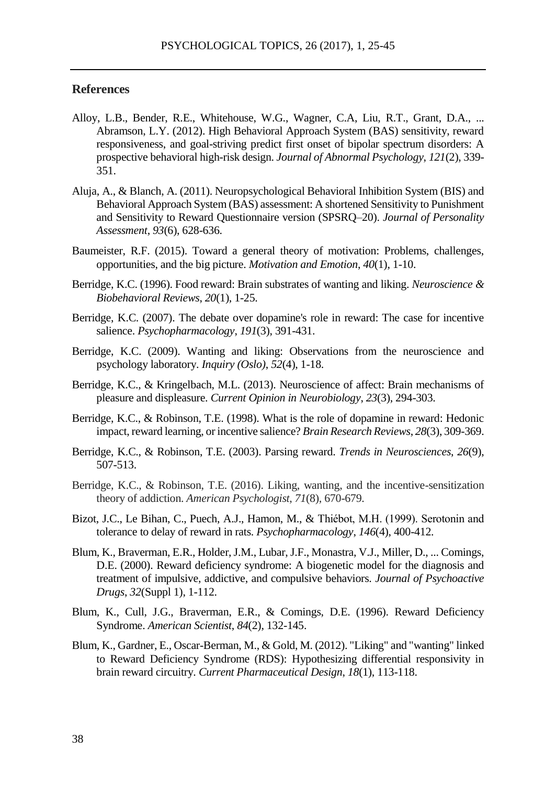#### **References**

- Alloy, L.B., Bender, R.E., Whitehouse, W.G., Wagner, C.A, Liu, R.T., Grant, D.A., ... Abramson, L.Y. (2012). High Behavioral Approach System (BAS) sensitivity, reward responsiveness, and goal-striving predict first onset of bipolar spectrum disorders: A prospective behavioral high-risk design. *Journal of Abnormal Psychology*, *121*(2), 339- 351.
- Aluja, A., & Blanch, A. (2011). Neuropsychological Behavioral Inhibition System (BIS) and Behavioral Approach System (BAS) assessment: A shortened Sensitivity to Punishment and Sensitivity to Reward Questionnaire version (SPSRQ–20). *Journal of Personality Assessment*, *93*(6), 628-636.
- Baumeister, R.F. (2015). Toward a general theory of motivation: Problems, challenges, opportunities, and the big picture. *Motivation and Emotion*, *40*(1), 1-10.
- Berridge, K.C. (1996). Food reward: Brain substrates of wanting and liking. *Neuroscience & Biobehavioral Reviews*, *20*(1), 1-25.
- Berridge, K.C. (2007). The debate over dopamine's role in reward: The case for incentive salience. *Psychopharmacology*, *191*(3), 391-431.
- Berridge, K.C. (2009). Wanting and liking: Observations from the neuroscience and psychology laboratory. *Inquiry (Oslo)*, *52*(4), 1-18.
- Berridge, K.C., & Kringelbach, M.L. (2013). Neuroscience of affect: Brain mechanisms of pleasure and displeasure. *Current Opinion in Neurobiology*, *23*(3), 294-303.
- Berridge, K.C., & Robinson, T.E. (1998). What is the role of dopamine in reward: Hedonic impact, reward learning, or incentive salience? *Brain Research Reviews*, *28*(3), 309-369.
- Berridge, K.C., & Robinson, T.E. (2003). Parsing reward. *Trends in Neurosciences*, *26*(9), 507-513.
- Berridge, K.C., & Robinson, T.E. (2016). Liking, wanting, and the incentive-sensitization theory of addiction. *American Psychologist*, *71*(8), 670-679.
- Bizot, J.C., Le Bihan, C., Puech, A.J., Hamon, M., & Thiébot, M.H. (1999). Serotonin and tolerance to delay of reward in rats. *Psychopharmacology*, *146*(4), 400-412.
- Blum, K., Braverman, E.R., Holder, J.M., Lubar, J.F., Monastra, V.J., Miller, D., ... Comings, D.E. (2000). Reward deficiency syndrome: A biogenetic model for the diagnosis and treatment of impulsive, addictive, and compulsive behaviors. *Journal of Psychoactive Drugs*, *32*(Suppl 1), 1-112.
- Blum, K., Cull, J.G., Braverman, E.R., & Comings, D.E. (1996). Reward Deficiency Syndrome. *American Scientist*, *84*(2), 132-145.
- Blum, K., Gardner, E., Oscar-Berman, M., & Gold, M. (2012). "Liking" and "wanting" linked to Reward Deficiency Syndrome (RDS): Hypothesizing differential responsivity in brain reward circuitry. *Current Pharmaceutical Design*, *18*(1), 113-118.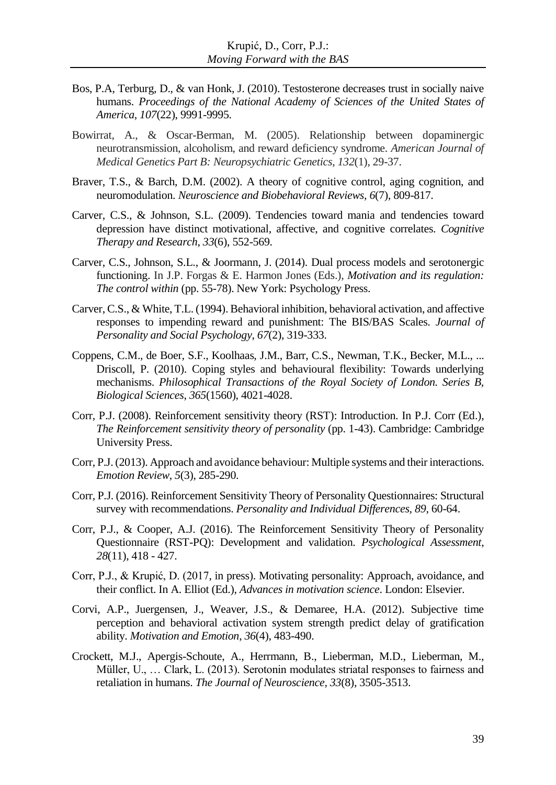- Bos, P.A, Terburg, D., & van Honk, J. (2010). Testosterone decreases trust in socially naive humans. *Proceedings of the National Academy of Sciences of the United States of America*, *107*(22), 9991-9995.
- Bowirrat, A., & Oscar-Berman, M. (2005). Relationship between dopaminergic neurotransmission, alcoholism, and reward deficiency syndrome. *American Journal of Medical Genetics Part B: Neuropsychiatric Genetics*, *132*(1), 29-37.
- Braver, T.S., & Barch, D.M. (2002). A theory of cognitive control, aging cognition, and neuromodulation. *Neuroscience and Biobehavioral Reviews, 6*(7), 809-817.
- Carver, C.S., & Johnson, S.L. (2009). Tendencies toward mania and tendencies toward depression have distinct motivational, affective, and cognitive correlates. *Cognitive Therapy and Research*, *33*(6), 552-569.
- Carver, C.S., Johnson, S.L., & Joormann, J. (2014). Dual process models and serotonergic functioning. In J.P. Forgas & E. Harmon Jones (Eds.), *Motivation and its regulation: The control within* (pp. 55-78). New York: Psychology Press.
- Carver, C.S., & White, T.L. (1994). Behavioral inhibition, behavioral activation, and affective responses to impending reward and punishment: The BIS/BAS Scales. *Journal of Personality and Social Psychology*, *67*(2), 319-333.
- Coppens, C.M., de Boer, S.F., Koolhaas, J.M., Barr, C.S., Newman, T.K., Becker, M.L., ... Driscoll, P. (2010). Coping styles and behavioural flexibility: Towards underlying mechanisms. *Philosophical Transactions of the Royal Society of London. Series B, Biological Sciences*, *365*(1560), 4021-4028.
- Corr, P.J. (2008). Reinforcement sensitivity theory (RST): Introduction. In P.J. Corr (Ed.), *The Reinforcement sensitivity theory of personality* (pp. 1-43). Cambridge: Cambridge University Press.
- Corr, P.J. (2013). Approach and avoidance behaviour: Multiple systems and their interactions. *Emotion Review*, *5*(3), 285-290.
- Corr, P.J. (2016). Reinforcement Sensitivity Theory of Personality Questionnaires: Structural survey with recommendations. *Personality and Individual Differences, 89*, 60-64.
- Corr, P.J., & Cooper, A.J. (2016). The Reinforcement Sensitivity Theory of Personality Questionnaire (RST-PQ): Development and validation. *Psychological Assessment*, *28*(11), 418 - 427.
- Corr, P.J., & Krupić, D. (2017, in press). Motivating personality: Approach, avoidance, and their conflict. In A. Elliot (Ed.), *Advances in motivation science*. London: Elsevier.
- Corvi, A.P., Juergensen, J., Weaver, J.S., & Demaree, H.A. (2012). Subjective time perception and behavioral activation system strength predict delay of gratification ability. *Motivation and Emotion*, *36*(4), 483-490.
- Crockett, M.J., Apergis-Schoute, A., Herrmann, B., Lieberman, M.D., Lieberman, M., Müller, U., … Clark, L. (2013). Serotonin modulates striatal responses to fairness and retaliation in humans. *The Journal of Neuroscience, 33*(8), 3505-3513.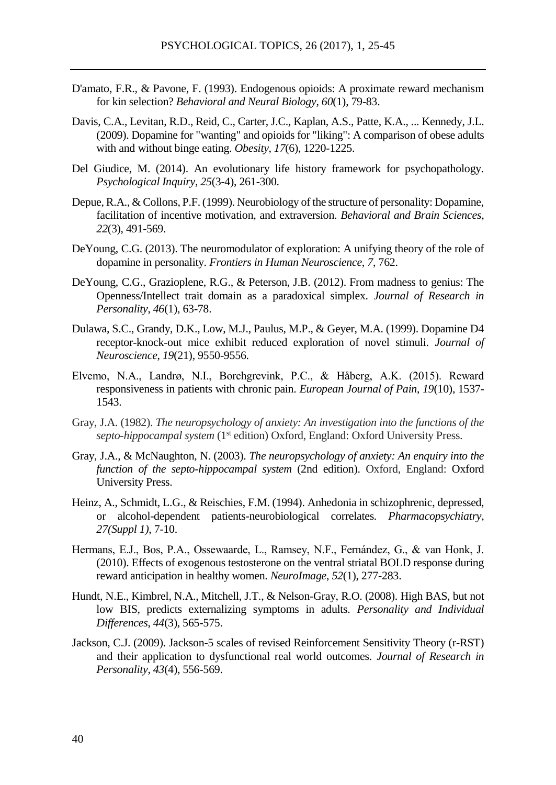- D'amato, F.R., & Pavone, F. (1993). Endogenous opioids: A proximate reward mechanism for kin selection? *Behavioral and Neural Biology*, *60*(1), 79-83.
- Davis, C.A., Levitan, R.D., Reid, C., Carter, J.C., Kaplan, A.S., Patte, K.A., ... Kennedy, J.L. (2009). Dopamine for "wanting" and opioids for "liking": A comparison of obese adults with and without binge eating. *Obesity*, *17*(6), 1220-1225.
- Del Giudice, M. (2014). An evolutionary life history framework for psychopathology. *Psychological Inquiry*, *25*(3-4), 261-300.
- Depue, R.A., & Collons, P.F. (1999). Neurobiology of the structure of personality: Dopamine, facilitation of incentive motivation, and extraversion. *Behavioral and Brain Sciences*, *22*(3), 491-569.
- DeYoung, C.G. (2013). The neuromodulator of exploration: A unifying theory of the role of dopamine in personality. *Frontiers in Human Neuroscience*, *7*, 762.
- DeYoung, C.G., Grazioplene, R.G., & Peterson, J.B. (2012). From madness to genius: The Openness/Intellect trait domain as a paradoxical simplex. *Journal of Research in Personality*, *46*(1), 63-78.
- Dulawa, S.C., Grandy, D.K., Low, M.J., Paulus, M.P., & Geyer, M.A. (1999). Dopamine D4 receptor-knock-out mice exhibit reduced exploration of novel stimuli. *Journal of Neuroscience*, *19*(21), 9550-9556.
- Elvemo, N.A., Landrø, N.I., Borchgrevink, P.C., & Håberg, A.K. (2015). Reward responsiveness in patients with chronic pain. *European Journal of Pain*, *19*(10), 1537- 1543.
- Gray, J.A. (1982). *The neuropsychology of anxiety: An investigation into the functions of the septo-hippocampal system* (1<sup>st</sup> edition) Oxford, England: Oxford University Press.
- Gray, J.A., & McNaughton, N. (2003). *The neuropsychology of anxiety: An enquiry into the function of the septo-hippocampal system* (2nd edition). Oxford, England: Oxford University Press.
- Heinz, A., Schmidt, L.G., & Reischies, F.M. (1994). Anhedonia in schizophrenic, depressed, or alcohol-dependent patients-neurobiological correlates. *Pharmacopsychiatry*, *27(Suppl 1)*, 7-10.
- Hermans, E.J., Bos, P.A., Ossewaarde, L., Ramsey, N.F., Fernández, G., & van Honk, J. (2010). Effects of exogenous testosterone on the ventral striatal BOLD response during reward anticipation in healthy women. *NeuroImage*, *52*(1), 277-283.
- Hundt, N.E., Kimbrel, N.A., Mitchell, J.T., & Nelson-Gray, R.O. (2008). High BAS, but not low BIS, predicts externalizing symptoms in adults. *Personality and Individual Differences*, *44*(3), 565-575.
- Jackson, C.J. (2009). Jackson-5 scales of revised Reinforcement Sensitivity Theory (r-RST) and their application to dysfunctional real world outcomes. *Journal of Research in Personality*, *43*(4), 556-569.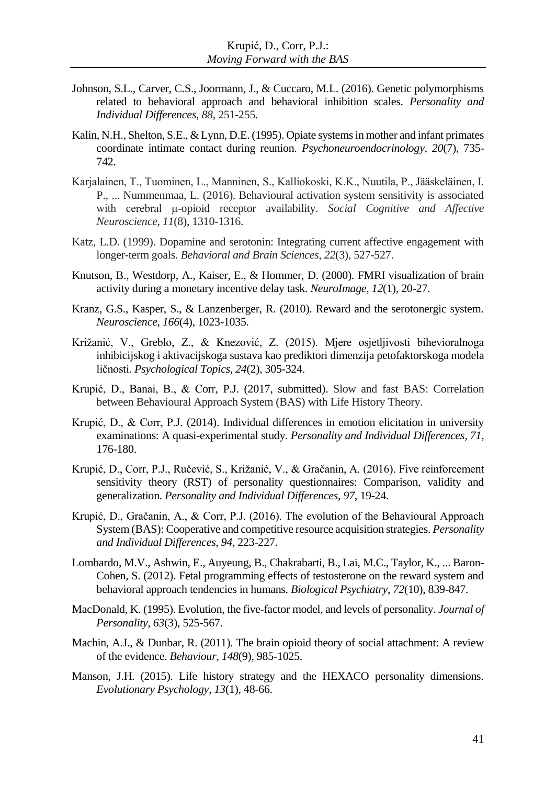- Johnson, S.L., Carver, C.S., Joormann, J., & Cuccaro, M.L. (2016). Genetic polymorphisms related to behavioral approach and behavioral inhibition scales. *Personality and Individual Differences, 88*, 251-255.
- Kalin, N.H., Shelton, S.E., & Lynn, D.E. (1995). Opiate systems in mother and infant primates coordinate intimate contact during reunion. *Psychoneuroendocrinology*, *20*(7), 735- 742.
- Karjalainen, T., Tuominen, L., Manninen, S., Kalliokoski, K.K., Nuutila, P., Jääskeläinen, I. P., ... Nummenmaa, L. (2016). Behavioural activation system sensitivity is associated with cerebral μ-opioid receptor availability. *Social Cognitive and Affective Neuroscience*, *11*(8), 1310-1316.
- Katz, L.D. (1999). Dopamine and serotonin: Integrating current affective engagement with longer-term goals. *Behavioral and Brain Sciences*, *22*(3), 527-527.
- Knutson, B., Westdorp, A., Kaiser, E., & Hommer, D. (2000). FMRI visualization of brain activity during a monetary incentive delay task. *NeuroImage*, *12*(1), 20-27.
- Kranz, G.S., Kasper, S., & Lanzenberger, R. (2010). Reward and the serotonergic system. *Neuroscience*, *166*(4), 1023-1035.
- Križanić, V., Greblo, Z., & Knezović, Z. (2015). Mjere osjetljivosti bihevioralnoga inhibicijskog i aktivacijskoga sustava kao prediktori dimenzija petofaktorskoga modela ličnosti. *Psychological Topics*, *24*(2), 305-324.
- Krupić, D., Banai, B., & Corr, P.J. (2017, submitted). Slow and fast BAS: Correlation between Behavioural Approach System (BAS) with Life History Theory.
- Krupić, D., & Corr, P.J. (2014). Individual differences in emotion elicitation in university examinations: A quasi-experimental study. *Personality and Individual Differences*, *71*, 176-180.
- Krupić, D., Corr, P.J., Ručević, S., Križanić, V., & Gračanin, A. (2016). Five reinforcement sensitivity theory (RST) of personality questionnaires: Comparison, validity and generalization. *Personality and Individual Differences*, *97*, 19-24.
- Krupić, D., Gračanin, A., & Corr, P.J. (2016). The evolution of the Behavioural Approach System (BAS): Cooperative and competitive resource acquisition strategies. *Personality and Individual Differences*, *94*, 223-227.
- Lombardo, M.V., Ashwin, E., Auyeung, B., Chakrabarti, B., Lai, M.C., Taylor, K., ... Baron-Cohen, S. (2012). Fetal programming effects of testosterone on the reward system and behavioral approach tendencies in humans. *Biological Psychiatry*, *72*(10), 839-847.
- MacDonald, K. (1995). Evolution, the five-factor model, and levels of personality. *Journal of Personality*, *63*(3), 525-567.
- Machin, A.J., & Dunbar, R. (2011). The brain opioid theory of social attachment: A review of the evidence. *Behaviour*, *148*(9), 985-1025.
- Manson, J.H. (2015). Life history strategy and the HEXACO personality dimensions. *Evolutionary Psychology*, *13*(1), 48-66.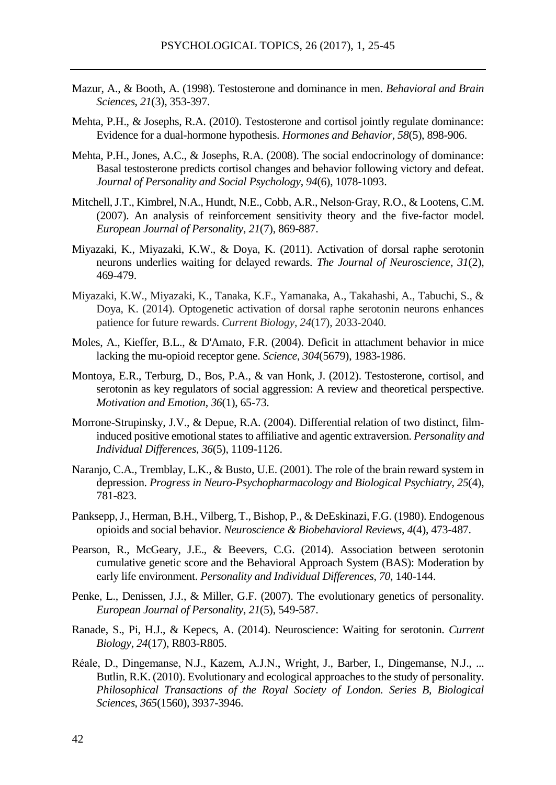- Mazur, A., & Booth, A. (1998). Testosterone and dominance in men. *Behavioral and Brain Sciences*, *21*(3), 353-397.
- Mehta, P.H., & Josephs, R.A. (2010). Testosterone and cortisol jointly regulate dominance: Evidence for a dual-hormone hypothesis. *Hormones and Behavior*, *58*(5), 898-906.
- Mehta, P.H., Jones, A.C., & Josephs, R.A. (2008). The social endocrinology of dominance: Basal testosterone predicts cortisol changes and behavior following victory and defeat. *Journal of Personality and Social Psychology*, *94*(6), 1078-1093.
- Mitchell, J.T., Kimbrel, N.A., Hundt, N.E., Cobb, A.R., Nelson‐Gray, R.O., & Lootens, C.M. (2007). An analysis of reinforcement sensitivity theory and the five-factor model. *European Journal of Personality*, *21*(7), 869-887.
- Miyazaki, K., Miyazaki, K.W., & Doya, K. (2011). Activation of dorsal raphe serotonin neurons underlies waiting for delayed rewards. *The Journal of Neuroscience*, *31*(2), 469-479.
- Miyazaki, K.W., Miyazaki, K., Tanaka, K.F., Yamanaka, A., Takahashi, A., Tabuchi, S., & Doya, K. (2014). Optogenetic activation of dorsal raphe serotonin neurons enhances patience for future rewards. *Current Biology*, *24*(17), 2033-2040.
- Moles, A., Kieffer, B.L., & D'Amato, F.R. (2004). Deficit in attachment behavior in mice lacking the mu-opioid receptor gene. *Science*, *304*(5679), 1983-1986.
- Montoya, E.R., Terburg, D., Bos, P.A., & van Honk, J. (2012). Testosterone, cortisol, and serotonin as key regulators of social aggression: A review and theoretical perspective. *Motivation and Emotion*, *36*(1), 65-73.
- Morrone-Strupinsky, J.V., & Depue, R.A. (2004). Differential relation of two distinct, filminduced positive emotional states to affiliative and agentic extraversion. *Personality and Individual Differences*, *36*(5), 1109-1126.
- Naranjo, C.A., Tremblay, L.K., & Busto, U.E. (2001). The role of the brain reward system in depression. *Progress in Neuro-Psychopharmacology and Biological Psychiatry*, *25*(4), 781-823.
- Panksepp, J., Herman, B.H., Vilberg, T., Bishop, P., & DeEskinazi, F.G. (1980). Endogenous opioids and social behavior. *Neuroscience & Biobehavioral Reviews*, *4*(4), 473-487.
- Pearson, R., McGeary, J.E., & Beevers, C.G. (2014). Association between serotonin cumulative genetic score and the Behavioral Approach System (BAS): Moderation by early life environment. *Personality and Individual Differences*, *70*, 140-144.
- Penke, L., Denissen, J.J., & Miller, G.F. (2007). The evolutionary genetics of personality. *European Journal of Personality*, *21*(5), 549-587.
- Ranade, S., Pi, H.J., & Kepecs, A. (2014). Neuroscience: Waiting for serotonin. *Current Biology*, *24*(17), R803-R805.
- Réale, D., Dingemanse, N.J., Kazem, A.J.N., Wright, J., Barber, I., Dingemanse, N.J., ... Butlin, R.K. (2010). Evolutionary and ecological approaches to the study of personality. *Philosophical Transactions of the Royal Society of London. Series B, Biological Sciences*, *365*(1560), 3937-3946.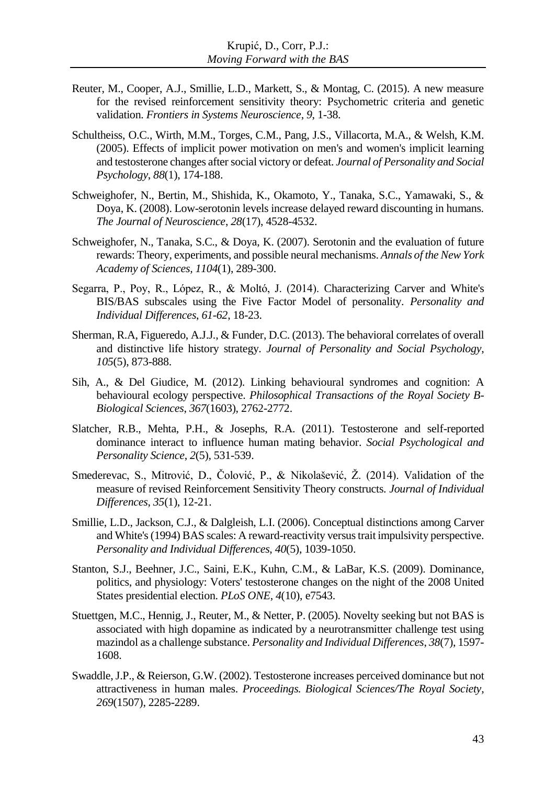- Reuter, M., Cooper, A.J., Smillie, L.D., Markett, S., & Montag, C. (2015). A new measure for the revised reinforcement sensitivity theory: Psychometric criteria and genetic validation. *Frontiers in Systems Neuroscience*, *9*, 1-38.
- Schultheiss, O.C., Wirth, M.M., Torges, C.M., Pang, J.S., Villacorta, M.A., & Welsh, K.M. (2005). Effects of implicit power motivation on men's and women's implicit learning and testosterone changes after social victory or defeat. *Journal of Personality and Social Psychology*, *88*(1), 174-188.
- Schweighofer, N., Bertin, M., Shishida, K., Okamoto, Y., Tanaka, S.C., Yamawaki, S., & Doya, K. (2008). Low-serotonin levels increase delayed reward discounting in humans. *The Journal of Neuroscience*, *28*(17), 4528-4532.
- Schweighofer, N., Tanaka, S.C., & Doya, K. (2007). Serotonin and the evaluation of future rewards: Theory, experiments, and possible neural mechanisms. *Annals of the New York Academy of Sciences, 1104*(1), 289-300.
- Segarra, P., Poy, R., López, R., & Moltó, J. (2014). Characterizing Carver and White's BIS/BAS subscales using the Five Factor Model of personality. *Personality and Individual Differences*, *61*-*62*, 18-23.
- Sherman, R.A, Figueredo, A.J.J., & Funder, D.C. (2013). The behavioral correlates of overall and distinctive life history strategy. *Journal of Personality and Social Psychology*, *105*(5), 873-888.
- Sih, A., & Del Giudice, M. (2012). Linking behavioural syndromes and cognition: A behavioural ecology perspective. *Philosophical Transactions of the Royal Society B-Biological Sciences*, *367*(1603), 2762-2772.
- Slatcher, R.B., Mehta, P.H., & Josephs, R.A. (2011). Testosterone and self-reported dominance interact to influence human mating behavior. *Social Psychological and Personality Science*, *2*(5), 531-539.
- Smederevac, S., Mitrović, D., Čolović, P., & Nikolašević, Ž. (2014). Validation of the measure of revised Reinforcement Sensitivity Theory constructs. *Journal of Individual Differences*, *35*(1), 12-21.
- Smillie, L.D., Jackson, C.J., & Dalgleish, L.I. (2006). Conceptual distinctions among Carver and White's (1994) BAS scales: A reward-reactivity versus trait impulsivity perspective. *Personality and Individual Differences*, *40*(5), 1039-1050.
- Stanton, S.J., Beehner, J.C., Saini, E.K., Kuhn, C.M., & LaBar, K.S. (2009). Dominance, politics, and physiology: Voters' testosterone changes on the night of the 2008 United States presidential election. *PLoS ONE*, *4*(10), e7543.
- Stuettgen, M.C., Hennig, J., Reuter, M., & Netter, P. (2005). Novelty seeking but not BAS is associated with high dopamine as indicated by a neurotransmitter challenge test using mazindol as a challenge substance. *Personality and Individual Differences*, *38*(7), 1597- 1608.
- Swaddle, J.P., & Reierson, G.W. (2002). Testosterone increases perceived dominance but not attractiveness in human males. *Proceedings. Biological Sciences/The Royal Society*, *269*(1507), 2285-2289.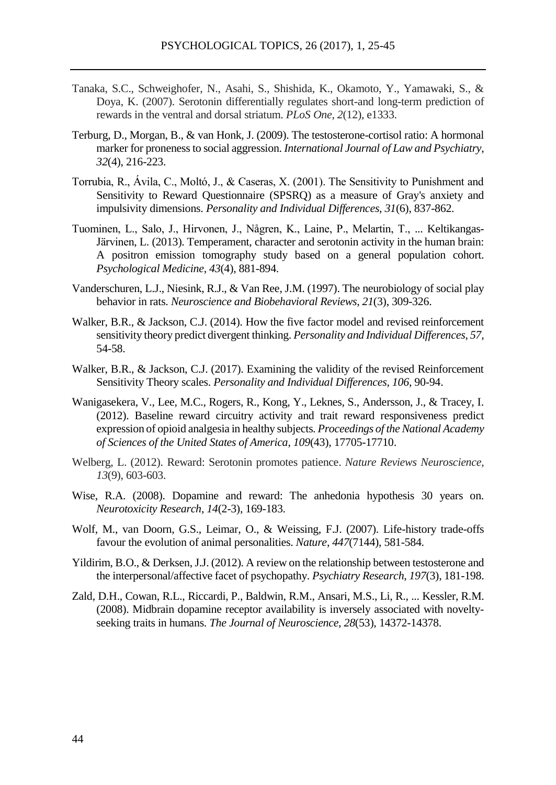- Tanaka, S.C., Schweighofer, N., Asahi, S., Shishida, K., Okamoto, Y., Yamawaki, S., & Doya, K. (2007). Serotonin differentially regulates short-and long-term prediction of rewards in the ventral and dorsal striatum. *PLoS One*, *2*(12), e1333.
- Terburg, D., Morgan, B., & van Honk, J. (2009). The testosterone-cortisol ratio: A hormonal marker for proneness to social aggression. *International Journal of Law and Psychiatry*, *32*(4), 216-223.
- Torrubia, R., Ávila, C., Moltó, J., & Caseras, X. (2001). The Sensitivity to Punishment and Sensitivity to Reward Questionnaire (SPSRQ) as a measure of Gray's anxiety and impulsivity dimensions. *Personality and Individual Differences*, *31*(6), 837-862.
- Tuominen, L., Salo, J., Hirvonen, J., Någren, K., Laine, P., Melartin, T., ... Keltikangas-Järvinen, L. (2013). Temperament, character and serotonin activity in the human brain: A positron emission tomography study based on a general population cohort. *Psychological Medicine*, *43*(4), 881-894.
- Vanderschuren, L.J., Niesink, R.J., & Van Ree, J.M. (1997). The neurobiology of social play behavior in rats. *Neuroscience and Biobehavioral Reviews*, *21*(3), 309-326.
- Walker, B.R., & Jackson, C.J. (2014). How the five factor model and revised reinforcement sensitivity theory predict divergent thinking. *Personality and Individual Differences*, *57*, 54-58.
- Walker, B.R., & Jackson, C.J. (2017). Examining the validity of the revised Reinforcement Sensitivity Theory scales. *Personality and Individual Differences, 106,* 90-94.
- Wanigasekera, V., Lee, M.C., Rogers, R., Kong, Y., Leknes, S., Andersson, J., & Tracey, I. (2012). Baseline reward circuitry activity and trait reward responsiveness predict expression of opioid analgesia in healthy subjects. *Proceedings of the National Academy of Sciences of the United States of America*, *109*(43), 17705-17710.
- Welberg, L. (2012). Reward: Serotonin promotes patience. *Nature Reviews Neuroscience*, *13*(9), 603-603.
- Wise, R.A. (2008). Dopamine and reward: The anhedonia hypothesis 30 years on. *Neurotoxicity Research*, *14*(2-3), 169-183.
- Wolf, M., van Doorn, G.S., Leimar, O., & Weissing, F.J. (2007). Life-history trade-offs favour the evolution of animal personalities. *Nature*, *447*(7144), 581-584.
- Yildirim, B.O., & Derksen, J.J. (2012). A review on the relationship between testosterone and the interpersonal/affective facet of psychopathy. *Psychiatry Research*, *197*(3), 181-198.
- Zald, D.H., Cowan, R.L., Riccardi, P., Baldwin, R.M., Ansari, M.S., Li, R., ... Kessler, R.M. (2008). Midbrain dopamine receptor availability is inversely associated with noveltyseeking traits in humans. *The Journal of Neuroscience*, *28*(53), 14372-14378.